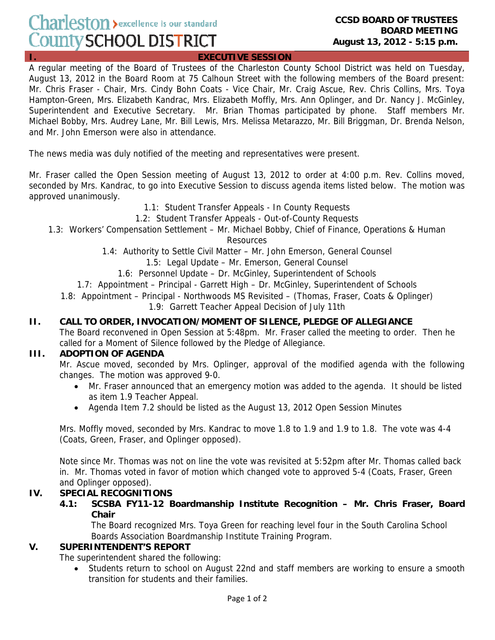# Charleston > excellence is our standard County SCHOOL DISTRICT

**EXECUTIVE SESSION** 

A regular meeting of the Board of Trustees of the Charleston County School District was held on Tuesday, August 13, 2012 in the Board Room at 75 Calhoun Street with the following members of the Board present: Mr. Chris Fraser - Chair, Mrs. Cindy Bohn Coats - Vice Chair, Mr. Craig Ascue, Rev. Chris Collins, Mrs. Toya Hampton-Green, Mrs. Elizabeth Kandrac, Mrs. Elizabeth Moffly, Mrs. Ann Oplinger, and Dr. Nancy J. McGinley, Superintendent and Executive Secretary. Mr. Brian Thomas participated by phone. Staff members Mr. Michael Bobby, Mrs. Audrey Lane, Mr. Bill Lewis, Mrs. Melissa Metarazzo, Mr. Bill Briggman, Dr. Brenda Nelson, and Mr. John Emerson were also in attendance.

The news media was duly notified of the meeting and representatives were present.

Mr. Fraser called the Open Session meeting of August 13, 2012 to order at 4:00 p.m. Rev. Collins moved, seconded by Mrs. Kandrac, to go into Executive Session to discuss agenda items listed below. The motion was approved unanimously.

- 1.1: Student Transfer Appeals In County Requests
- 1.2: Student Transfer Appeals Out-of-County Requests
- 1.3: Workers' Compensation Settlement Mr. Michael Bobby, Chief of Finance, Operations & Human

Resources

- 1.4: Authority to Settle Civil Matter Mr. John Emerson, General Counsel
	- 1.5: Legal Update Mr. Emerson, General Counsel
	- 1.6: Personnel Update Dr. McGinley, Superintendent of Schools
- 1.7: Appointment Principal Garrett High Dr. McGinley, Superintendent of Schools
- 1.8: Appointment Principal Northwoods MS Revisited (Thomas, Fraser, Coats & Oplinger) 1.9: Garrett Teacher Appeal Decision of July 11th

#### **II. CALL TO ORDER, INVOCATION/MOMENT OF SILENCE, PLEDGE OF ALLEGIANCE**

The Board reconvened in Open Session at 5:48pm. Mr. Fraser called the meeting to order. Then he called for a Moment of Silence followed by the Pledge of Allegiance.

#### **III. ADOPTION OF AGENDA**

Mr. Ascue moved, seconded by Mrs. Oplinger, approval of the modified agenda with the following changes. The motion was approved 9-0.

- Mr. Fraser announced that an emergency motion was added to the agenda. It should be listed as item 1.9 Teacher Appeal.
- Agenda Item 7.2 should be listed as the August 13, 2012 Open Session Minutes

Mrs. Moffly moved, seconded by Mrs. Kandrac to move 1.8 to 1.9 and 1.9 to 1.8. The vote was 4-4 (Coats, Green, Fraser, and Oplinger opposed).

Note since Mr. Thomas was not on line the vote was revisited at 5:52pm after Mr. Thomas called back in. Mr. Thomas voted in favor of motion which changed vote to approved 5-4 (Coats, Fraser, Green and Oplinger opposed).

#### **IV. SPECIAL RECOGNITIONS**

 **4.1: SCSBA FY11-12 Boardmanship Institute Recognition – Mr. Chris Fraser, Board Chair** 

The Board recognized Mrs. Toya Green for reaching level four in the South Carolina School Boards Association Boardmanship Institute Training Program.

#### **V. SUPERINTENDENT'S REPORT**

The superintendent shared the following:

• Students return to school on August 22nd and staff members are working to ensure a smooth transition for students and their families.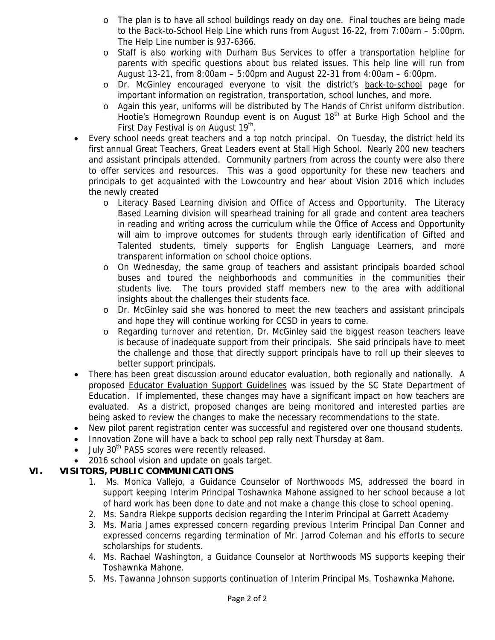- o The plan is to have all school buildings ready on day one. Final touches are being made to the Back-to-School Help Line which runs from August 16-22, from 7:00am – 5:00pm. The Help Line number is 937-6366.
- o Staff is also working with Durham Bus Services to offer a transportation helpline for parents with specific questions about bus related issues. This help line will run from August 13-21, from 8:00am – 5:00pm and August 22-31 from 4:00am – 6:00pm.
- o Dr. McGinley encouraged everyone to visit the district's back-to-school page for important information on registration, transportation, school lunches, and more.
- o Again this year, uniforms will be distributed by The Hands of Christ uniform distribution. Hootie's Homegrown Roundup event is on August 18<sup>th</sup> at Burke High School and the First Day Festival is on August 19<sup>th</sup>.
- Every school needs great teachers and a top notch principal. On Tuesday, the district held its first annual Great Teachers, Great Leaders event at Stall High School. Nearly 200 new teachers and assistant principals attended. Community partners from across the county were also there to offer services and resources. This was a good opportunity for these new teachers and principals to get acquainted with the Lowcountry and hear about Vision 2016 which includes the newly created
	- o Literacy Based Learning division and Office of Access and Opportunity. The Literacy Based Learning division will spearhead training for all grade and content area teachers in reading and writing across the curriculum while the Office of Access and Opportunity will aim to improve outcomes for students through early identification of Gifted and Talented students, timely supports for English Language Learners, and more transparent information on school choice options.
	- o On Wednesday, the same group of teachers and assistant principals boarded school buses and toured the neighborhoods and communities in the communities their students live. The tours provided staff members new to the area with additional insights about the challenges their students face.
	- o Dr. McGinley said she was honored to meet the new teachers and assistant principals and hope they will continue working for CCSD in years to come.
	- o Regarding turnover and retention, Dr. McGinley said the biggest reason teachers leave is because of inadequate support from their principals. She said principals have to meet the challenge and those that directly support principals have to roll up their sleeves to better support principals.
- There has been great discussion around educator evaluation, both regionally and nationally. A proposed Educator Evaluation Support Guidelines was issued by the SC State Department of Education. If implemented, these changes may have a significant impact on how teachers are evaluated. As a district, proposed changes are being monitored and interested parties are being asked to review the changes to make the necessary recommendations to the state.
- New pilot parent registration center was successful and registered over one thousand students.
- Innovation Zone will have a back to school pep rally next Thursday at 8am.
- July 30<sup>th</sup> PASS scores were recently released.
- 2016 school vision and update on goals target.

# **VI. VISITORS, PUBLIC COMMUNICATIONS**

- 1. Ms. Monica Vallejo, a Guidance Counselor of Northwoods MS, addressed the board in support keeping Interim Principal Toshawnka Mahone assigned to her school because a lot of hard work has been done to date and not make a change this close to school opening.
- 2. Ms. Sandra Riekpe supports decision regarding the Interim Principal at Garrett Academy
- 3. Ms. Maria James expressed concern regarding previous Interim Principal Dan Conner and expressed concerns regarding termination of Mr. Jarrod Coleman and his efforts to secure scholarships for students.
- 4. Ms. Rachael Washington, a Guidance Counselor at Northwoods MS supports keeping their Toshawnka Mahone.
- 5. Ms. Tawanna Johnson supports continuation of Interim Principal Ms. Toshawnka Mahone.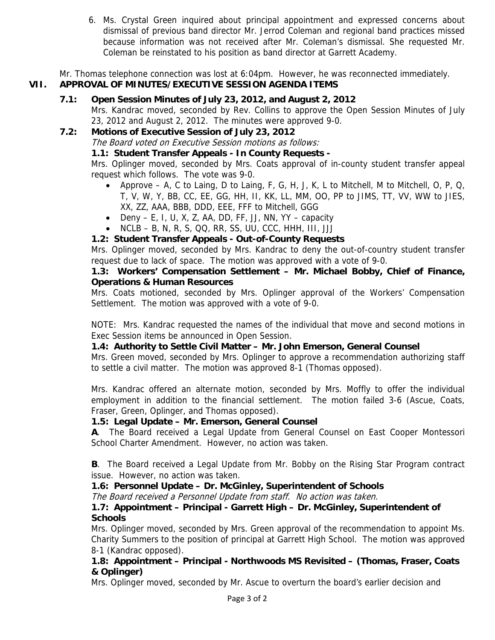6. Ms. Crystal Green inquired about principal appointment and expressed concerns about dismissal of previous band director Mr. Jerrod Coleman and regional band practices missed because information was not received after Mr. Coleman's dismissal. She requested Mr. Coleman be reinstated to his position as band director at Garrett Academy.

Mr. Thomas telephone connection was lost at 6:04pm. However, he was reconnected immediately.

# **VII. APPROVAL OF MINUTES/EXECUTIVE SESSION AGENDA ITEMS**

 **7.1: Open Session Minutes of July 23, 2012, and August 2, 2012**  Mrs. Kandrac moved, seconded by Rev. Collins to approve the Open Session Minutes of July 23, 2012 and August 2, 2012. The minutes were approved 9-0.

# **7.2: Motions of Executive Session of July 23, 2012**

The Board voted on Executive Session motions as follows:

# **1.1: Student Transfer Appeals - In County Requests -**

Mrs. Oplinger moved, seconded by Mrs. Coats approval of in-county student transfer appeal request which follows. The vote was 9-0.

- Approve A, C to Laing, D to Laing, F, G, H, J, K, L to Mitchell, M to Mitchell, O, P, Q, T, V, W, Y, BB, CC, EE, GG, HH, II, KK, LL, MM, OO, PP to JIMS, TT, VV, WW to JIES, XX, ZZ, AAA, BBB, DDD, EEE, FFF to Mitchell, GGG
- Deny E, I, U, X, Z, AA, DD, FF, JJ, NN, YY capacity
- NCLB B, N, R, S, QQ, RR, SS, UU, CCC, HHH, III, JJJ

# **1.2: Student Transfer Appeals - Out-of-County Requests**

Mrs. Oplinger moved, seconded by Mrs. Kandrac to deny the out-of-country student transfer request due to lack of space. The motion was approved with a vote of 9-0.

## **1.3: Workers' Compensation Settlement – Mr. Michael Bobby, Chief of Finance, Operations & Human Resources**

Mrs. Coats motioned, seconded by Mrs. Oplinger approval of the Workers' Compensation Settlement. The motion was approved with a vote of 9-0.

NOTE: Mrs. Kandrac requested the names of the individual that move and second motions in Exec Session items be announced in Open Session.

# **1.4: Authority to Settle Civil Matter – Mr. John Emerson, General Counsel**

Mrs. Green moved, seconded by Mrs. Oplinger to approve a recommendation authorizing staff to settle a civil matter. The motion was approved 8-1 (Thomas opposed).

Mrs. Kandrac offered an alternate motion, seconded by Mrs. Moffly to offer the individual employment in addition to the financial settlement. The motion failed 3-6 (Ascue, Coats, Fraser, Green, Oplinger, and Thomas opposed).

# **1.5: Legal Update – Mr. Emerson, General Counsel**

**A**. The Board received a Legal Update from General Counsel on East Cooper Montessori School Charter Amendment. However, no action was taken.

**B**. The Board received a Legal Update from Mr. Bobby on the Rising Star Program contract issue. However, no action was taken.

# **1.6: Personnel Update – Dr. McGinley, Superintendent of Schools**

The Board received a Personnel Update from staff. No action was taken.

## **1.7: Appointment – Principal - Garrett High – Dr. McGinley, Superintendent of Schools**

Mrs. Oplinger moved, seconded by Mrs. Green approval of the recommendation to appoint Ms. Charity Summers to the position of principal at Garrett High School. The motion was approved 8-1 (Kandrac opposed).

#### **1.8: Appointment – Principal - Northwoods MS Revisited – (Thomas, Fraser, Coats & Oplinger)**

Mrs. Oplinger moved, seconded by Mr. Ascue to overturn the board's earlier decision and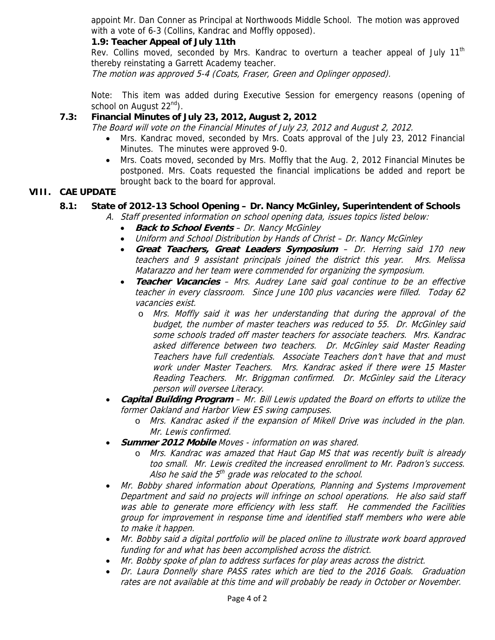appoint Mr. Dan Conner as Principal at Northwoods Middle School. The motion was approved with a vote of 6-3 (Collins, Kandrac and Moffly opposed).

## **1.9: Teacher Appeal of July 11th**

Rev. Collins moved, seconded by Mrs. Kandrac to overturn a teacher appeal of July  $11<sup>th</sup>$ thereby reinstating a Garrett Academy teacher.

The motion was approved 5-4 (Coats, Fraser, Green and Oplinger opposed).

Note: This item was added during Executive Session for emergency reasons (opening of school on August  $22^{nd}$ ).

# **7.3: Financial Minutes of July 23, 2012, August 2, 2012**

The Board will vote on the Financial Minutes of July 23, 2012 and August 2, 2012.

- Mrs. Kandrac moved, seconded by Mrs. Coats approval of the July 23, 2012 Financial Minutes. The minutes were approved 9-0.
- Mrs. Coats moved, seconded by Mrs. Moffly that the Aug. 2, 2012 Financial Minutes be postponed. Mrs. Coats requested the financial implications be added and report be brought back to the board for approval.

## **VIII. CAE UPDATE**

#### **8.1: State of 2012-13 School Opening – Dr. Nancy McGinley, Superintendent of Schools**

A. Staff presented information on school opening data, issues topics listed below:

- **Back to School Events** Dr. Nancy McGinley
- Uniform and School Distribution by Hands of Christ Dr. Nancy McGinley
- **Great Teachers, Great Leaders Symposium** Dr. Herring said 170 new teachers and 9 assistant principals joined the district this year. Mrs. Melissa Matarazzo and her team were commended for organizing the symposium.
- **Teacher Vacancies** Mrs. Audrey Lane said goal continue to be an effective teacher in every classroom. Since June 100 plus vacancies were filled. Today 62 vacancies exist.
	- o Mrs. Moffly said it was her understanding that during the approval of the budget, the number of master teachers was reduced to 55. Dr. McGinley said some schools traded off master teachers for associate teachers. Mrs. Kandrac asked difference between two teachers. Dr. McGinley said Master Reading Teachers have full credentials. Associate Teachers don't have that and must work under Master Teachers. Mrs. Kandrac asked if there were 15 Master Reading Teachers. Mr. Briggman confirmed. Dr. McGinley said the Literacy person will oversee Literacy.
- **Capital Building Program** Mr. Bill Lewis updated the Board on efforts to utilize the former Oakland and Harbor View ES swing campuses.
	- o Mrs. Kandrac asked if the expansion of Mikell Drive was included in the plan. Mr. Lewis confirmed.
- **Summer 2012 Mobile** Moves information on was shared.
	- o Mrs. Kandrac was amazed that Haut Gap MS that was recently built is already too small. Mr. Lewis credited the increased enrollment to Mr. Padron's success. Also he said the  $5<sup>th</sup>$  grade was relocated to the school.
- Mr. Bobby shared information about Operations, Planning and Systems Improvement Department and said no projects will infringe on school operations. He also said staff was able to generate more efficiency with less staff. He commended the Facilities group for improvement in response time and identified staff members who were able to make it happen.
- Mr. Bobby said a digital portfolio will be placed online to illustrate work board approved funding for and what has been accomplished across the district.
- Mr. Bobby spoke of plan to address surfaces for play areas across the district.
- Dr. Laura Donnelly share PASS rates which are tied to the 2016 Goals. Graduation rates are not available at this time and will probably be ready in October or November.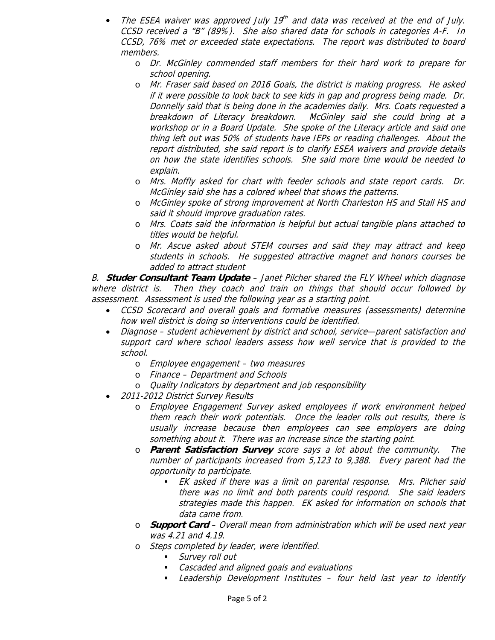- The ESEA waiver was approved July 19<sup>th</sup> and data was received at the end of July. CCSD received a "B" (89%). She also shared data for schools in categories A-F. In CCSD, 76% met or exceeded state expectations. The report was distributed to board members.
	- o Dr. McGinley commended staff members for their hard work to prepare for school opening.
	- o Mr. Fraser said based on 2016 Goals, the district is making progress. He asked if it were possible to look back to see kids in gap and progress being made. Dr. Donnelly said that is being done in the academies daily. Mrs. Coats requested a breakdown of Literacy breakdown. McGinley said she could bring at a workshop or in a Board Update. She spoke of the Literacy article and said one thing left out was 50% of students have IEPs or reading challenges. About the report distributed, she said report is to clarify ESEA waivers and provide details on how the state identifies schools. She said more time would be needed to explain.
	- o Mrs. Moffly asked for chart with feeder schools and state report cards. Dr. McGinley said she has a colored wheel that shows the patterns.
	- o McGinley spoke of strong improvement at North Charleston HS and Stall HS and said it should improve graduation rates.
	- o Mrs. Coats said the information is helpful but actual tangible plans attached to titles would be helpful.
	- o Mr. Ascue asked about STEM courses and said they may attract and keep students in schools. He suggested attractive magnet and honors courses be added to attract student

B. **Studer Consultant Team Update** – Janet Pilcher shared the FLY Wheel which diagnose where district is. Then they coach and train on things that should occur followed by assessment. Assessment is used the following year as a starting point.

- CCSD Scorecard and overall goals and formative measures (assessments) determine how well district is doing so interventions could be identified.
- Diagnose student achievement by district and school, service—parent satisfaction and support card where school leaders assess how well service that is provided to the school.
	- o Employee engagement two measures
	- o Finance Department and Schools
	- o Quality Indicators by department and job responsibility
- 2011-2012 District Survey Results
	- o Employee Engagement Survey asked employees if work environment helped them reach their work potentials. Once the leader rolls out results, there is usually increase because then employees can see employers are doing something about it. There was an increase since the starting point.
	- o **Parent Satisfaction Survey** score says a lot about the community. The number of participants increased from 5,123 to 9,388. Every parent had the opportunity to participate.
		- EK asked if there was a limit on parental response. Mrs. Pilcher said there was no limit and both parents could respond. She said leaders strategies made this happen. EK asked for information on schools that data came from.
	- o **Support Card** Overall mean from administration which will be used next year was 4.21 and 4.19.
	- o Steps completed by leader, were identified.
		- **Survey roll out**
		- **EXEC** Cascaded and aligned goals and evaluations
		- Leadership Development Institutes four held last year to identify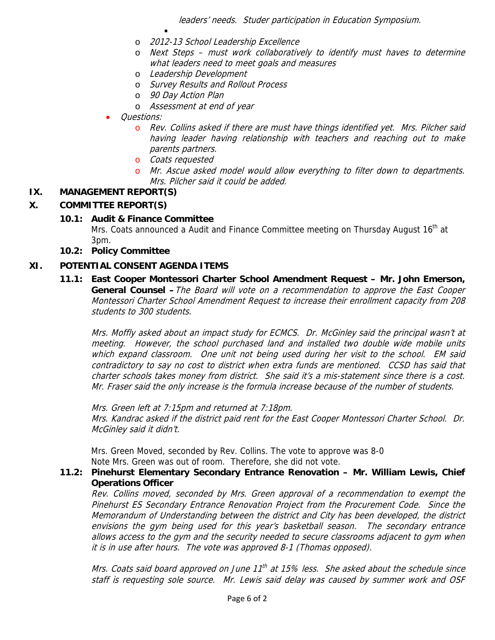leaders' needs. Studer participation in Education Symposium.

- o 2012-13 School Leadership Excellence
- o Next Steps must work collaboratively to identify must haves to determine what leaders need to meet goals and measures
- o Leadership Development
- o Survey Results and Rollout Process
- o 90 Day Action Plan

.

- o Assessment at end of year
- Questions:
	- o Rev. Collins asked if there are must have things identified yet. Mrs. Pilcher said having leader having relationship with teachers and reaching out to make parents partners.
	- o Coats requested
	- o Mr. Ascue asked model would allow everything to filter down to departments. Mrs. Pilcher said it could be added.

#### **IX. MANAGEMENT REPORT(S)**

## **X. COMMITTEE REPORT(S)**

#### **10.1: Audit & Finance Committee**

Mrs. Coats announced a Audit and Finance Committee meeting on Thursday August 16<sup>th</sup> at 3pm.

**10.2: Policy Committee** 

#### **XI. POTENTIAL CONSENT AGENDA ITEMS**

 **11.1: East Cooper Montessori Charter School Amendment Request – Mr. John Emerson, General Counsel –**The Board will vote on a recommendation to approve the East Cooper Montessori Charter School Amendment Request to increase their enrollment capacity from 208 students to 300 students.

Mrs. Moffly asked about an impact study for ECMCS. Dr. McGinley said the principal wasn't at meeting. However, the school purchased land and installed two double wide mobile units which expand classroom. One unit not being used during her visit to the school. EM said contradictory to say no cost to district when extra funds are mentioned. CCSD has said that charter schools takes money from district. She said it's a mis-statement since there is a cost. Mr. Fraser said the only increase is the formula increase because of the number of students.

Mrs. Green left at 7:15pm and returned at 7:18pm. Mrs. Kandrac asked if the district paid rent for the East Cooper Montessori Charter School. Dr. McGinley said it didn't.

Mrs. Green Moved, seconded by Rev. Collins. The vote to approve was 8-0 Note Mrs. Green was out of room. Therefore, she did not vote.

#### **11.2: Pinehurst Elementary Secondary Entrance Renovation – Mr. William Lewis, Chief Operations Officer**

Rev. Collins moved, seconded by Mrs. Green approval of a recommendation to exempt the Pinehurst ES Secondary Entrance Renovation Project from the Procurement Code. Since the Memorandum of Understanding between the district and City has been developed, the district envisions the gym being used for this year's basketball season. The secondary entrance allows access to the gym and the security needed to secure classrooms adjacent to gym when it is in use after hours. The vote was approved 8-1 (Thomas opposed).

Mrs. Coats said board approved on June  $11^{th}$  at 15% less. She asked about the schedule since staff is requesting sole source. Mr. Lewis said delay was caused by summer work and OSF